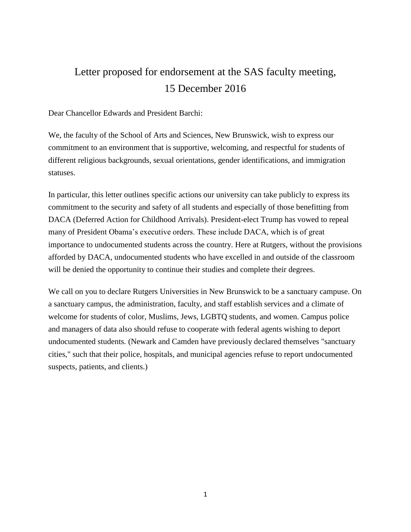## Letter proposed for endorsement at the SAS faculty meeting, 15 December 2016

Dear Chancellor Edwards and President Barchi:

We, the faculty of the School of Arts and Sciences, New Brunswick, wish to express our commitment to an environment that is supportive, welcoming, and respectful for students of different religious backgrounds, sexual orientations, gender identifications, and immigration statuses.

In particular, this letter outlines specific actions our university can take publicly to express its commitment to the security and safety of all students and especially of those benefitting from DACA (Deferred Action for Childhood Arrivals). President-elect Trump has vowed to repeal many of President Obama's executive orders. These include DACA, which is of great importance to undocumented students across the country. Here at Rutgers, without the provisions afforded by DACA, undocumented students who have excelled in and outside of the classroom will be denied the opportunity to continue their studies and complete their degrees.

We call on you to declare Rutgers Universities in New Brunswick to be a sanctuary campuse. On a sanctuary campus, the administration, faculty, and staff establish services and a climate of welcome for students of color, Muslims, Jews, LGBTQ students, and women. Campus police and managers of data also should refuse to cooperate with federal agents wishing to deport undocumented students. (Newark and Camden have previously declared themselves "sanctuary cities," such that their police, hospitals, and municipal agencies refuse to report undocumented suspects, patients, and clients.)